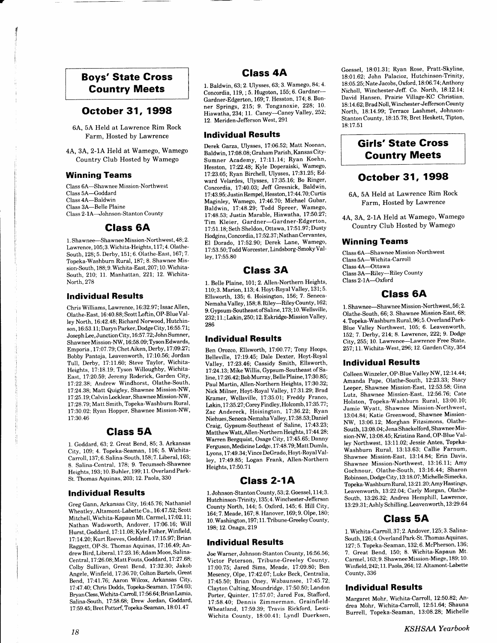# Boys' State Cross Country Meets

## October 31, 1998

6A, 5A Held at Lawrence Rim Rock Farm, Hosted by Lawrence

4A, 3A, 2-1A Held at Wamego, Wamego Country Club Hosted by Wamego

#### Winning Teams

Class 6A--Shawnee Mission-Northwest Class 5A-Goddard Class 4A-Baldwin Class 3A-Belle Plaine Class 2- lA-Johnson-Stanton County

## Class 6A

1. Shawnee-Shawnee Mission-Northwest, 48; 2. Lawrence, 105; 3. Wichita-Heights, 117; 4. Olathe-South, 128; 5. Derby, 151; 6. Olathe-East, 167; 7. Topeka-Washburn Rural, 187; 8. Shawnee Mission-South, 188; 9. Wichita-East, 207; 10. Wichita-South, 210; 11. Manhattan, 221; 12. Wichita-North, 278

#### lndividual Results

Chris Williams, Lawrence, 16:32.97 ; Issac Allen, Olathe-East, 16:40.88; Scott Loftin, OP-Blue Valley North, 16.42.48: Richard Norwood, Hutchinson, 16:53.11; Daryn Parker, Dodge City, 16:55.71; Joseph Lee, Junction City, 16:57.72; John Sumner, Shawnee Mission-NW, 16:58.09; Tyson Edwards, Emporia, 17:07.79; Chet Aiken, Derby, 17:09.27; Bobby Pantoja, Leavenworth, 17:10.56; Jordan Tull, Derby, 17:11.60; Steve Taylor, Wichita-Heights, 17:18.19; Tyson Willoughby, Wichita-East, 17:20.59; Jeremy Roderick, Garden City, 17:22.38: Andrew Windhorst, Olathe-South, 17:24.38; Matt Quigley, Shawnee Mission-NW, 17:25.19; Calvin Locklear, Shawnee Mission-NW, 17 :28.79;Matt Smith, Topeka-Washburn Rural, 1?:30.02: Ryan Hopper, Shawnee Mission-NW, 17:30.46

## Class 5A

1. Goddard. 63: 2. Great Bend, 85; 3. Arkansas City, 109; 4. Topeka-Seaman, 116; 5. Wichita-Carroll, 137;6. Salina-South, 158;7. Liberal, 163; 8. Salina-Central, 178; 9. Tecumseh-Shawnee Heights, 193; 10. Buhler, 199; 11. Overland Park-St. Thomas Aquinas, 203; 12. Paola, 330

#### lndividual Results

Greg Gann, Arkansas City, 16:45.76; Nathaniel Wheatley, Altamont-Labette Co., 16:47.52; Scott Mitchell, Wichita-Kapaun Mt. Carmel, 17:02.11; Nathan Wadsworth, Andover, 17:06.16; Will Hurst, Goddard, 1?:11.08; Kyle Fisher, Winfield, 17 :14.20 :Kurt Reeves, Goddard, 17 : 15.97 ; Brian Raggett, OP-SI. Thomas Aquinas, 17:16.49;Andrew Bird, Liberal, 1?:23.16; Adam Moos, Salina-Central, 1?:26.08; Matt Fouts, Goddard, 17:27.68; Colby Sullivan, Great Bend, 17:32.30; Jakob Angele, Winfield, 17:36.70; Colton Bartels, Great Bend, 17:41.76; Aaron Wilcox, Arkansas City, 17 :47 . 40', Chris Dodds, Topeka-Seaman, I 7 :54.03 ; Bryan Cless, Wichita-Carroll, 17:56.64; Brian Lamia, Salina-South, 17:58.68; Drew Jordan, Goddard, 17:59.45; Bret Pottorf, Topeka-Seaman, 18:01.47

# Glass 4A

1. Baldwin, 63; 2. Ulysses, 63; 3. Wamego, 84; 4. Concordia, 119, ; 5. Hugoton, 155; 6. Gardner-Gardner-Edgerton, 169; 7. Hesston, 174; 8. Bonner Springs, 215; 9. Tonganoxie, 228; lO' Hiawatha, 234; 11. Caney--Caney Valley, 252; 12. Meriden-Jefferson West, 291

#### tndividual Results

Derek Garza, Lllysses, 17.06.52; Matt Noonan, Baldwin, 17:08.08; Graham Parish, Kansas City-Sumner Academy, 17:11.14; Ryan Koehn, Hesston, 17:22.48; Kyle Doperaiski, Wamego, 17:23.05; Ryan Birchell, Ulysses, 17:31.25; Edward Velardes, Ulysses, 17:35.16; Bo Ringer, Concordia. 17:40.03; Jeff Gresnick, Baldwin, 17:43.95; Justin Rempel, Hesston, 17:44.70; Curtis Maginley, Wamego, 17:46.70; Michael Gubar, Baldwin, 17:48.29; Todd Spreer, Wamego, 17:48.53; Justin Marable, Hiawatha, 17:50.27; Tim Kleier, Gardner-Gardner-Edgerton, 17:51.18; Seth Sheldon, Ottawa, 17:51.97; Dusty Hodgins, Concordia, 17 :52.3 7; Nathan Cervantes, El Dorado, 17:52.90; Derek Lane, Wamego, 17 :53. 50; Todd Worcester, Lindsborg-Smoky Valley, l7:55.80

#### Glass 3A

1. Belle Plaine, 101; 2. Allen-Northern Heights, 110; 3. Marion, 113; 4. Hoyt-Royal Valley, 131; 5. Ellsworth, 135; 6. Hoisington, 156; 7. Seneca-Nemaha Valley, 158; 8. Riley--Riley County, 162; 9. Gypsum-Southeast of Saline, 173; 10. Wellsville, 232; 11.; Lakin, 250; 12. Eskridge-Mission Valley, 286

#### lndividual Results

Ben Orozco, Ellsworth, 17:00.77; Tony Hoops, Belleville, 17:19.45; Dale Dexter, Hoyt-Royal Valley, 17:23.46; Cassidy Smith, Ellsworth, l7.24.I3; Mike Willis, Gypsum-Southeast of Saline, 17:26.42; Bob Murray, Belle Plaine, 17:30.85; Paul Martin, Allen-Northern Heights, 17:30.32; Nick Milner, Hoyt-Royal Valley, 17:31.29; Brad Kramer, Wellsville, 17:35.01; Freddy Franco, Lakin, 17:35.27; Corey Findley, Holcomb, 17:35.77; Zac Andereck, Hoisington, 17:36.22; Ryan Niehues, Seneca-Nemaha Valley, 17 :38.53; Daniel Craig, Gypsum-Southeast of Saline, 17:43.23; Matthew Watt, Allen-Northern Heights, 17 :44.28; Warren Bergquist, Osage City, 17:45.65; Danny Ferguson, Medicine Lodge, 17 :48. 79; Matt Dumla, Lyons, 17:49.34;Vince DeGrado, Hoyt-RoyalValley, 1?:49.85; Logan Frank, Allen-Northern Heights, 17:50.71

## Class 2-1A

1. Johnson-Stanton County, 53; 2. Goessel, 1 14;3. Hutchinson-Trinity, 135; 4. Winchester-Jefferson CountyNorth, 144;5. Oxford, 145;6. Hill City, 164:7.Meade, 167;8. Hanover, 169;9. Olpe, 180; 10. Washington, 197; 11. Tribune-Greeley County, 198; 12. Onaga,219

#### lndividual Results

Joe Warner, Johnson-Stanton County, 16:56.56; Victor Peterson, Tribune-Greeley County, 1?:00.75; Jared Sims, Meade, 17:09.80; Ben Mesency, Olpe, 17:42.07; Luke Beck, Centralia, 17:45.50; Brian Oney, Wabaunsee, 17:45.72; Clayton Culting, Moundridge, 17:50.50; Landon Porter, Quinter, 17:57.07: Jared Fox, Stafford, 1?:58.40; Dennis Zimmerman. Grainfield-Wheatland, 17:59.39; Travis Rickford, Ieoti-Wichita County, 18:00.41; Lyndl Duerksen, Goessel, 18:01.31; Ryan Rose, Pratt-Skyline, 18:01.62; John Palacioz, Hutchinson-Trinity, 18:05.25; Nate Jacobs, Oxford, 18:06.74; Anthony Nicholl, Winchester-Jeff. Co. North, L8:L2.I4; David Hansen, Prairie Village-KC Christian, 18:14.62; Brad Noll, Winchester-Jefferson County North, 18:14.99; Terrace Lashmet, Johnson-Stanton County, 18:15.78; Bret Heskett, Tipton, 18:17.51

# **Girls' State Cross** Gountry Meets

## October 31, 1998

6A. 5A Held at Lawrence Rim Rock Farm, Hosted bY Lawrence

4A, 3A, 2-1A Held at Wamego, Wamego Country Club Hosted bY Wamego

#### Winning Teams

Class 6A-Shawnee Mission-Northwest Class 5A-Wichita-Carroll Class 4A-Ottawa Class 3A-Riley-Riley County Class 2-1A-Oxford

#### Class 6A

1. Shawnee--Shawnee Mission-Northwest, 56; 2. Olathe-South, 66; 3. Shawnee Mission-East, 68; 4. Topeka-Washburn Rural, 96; 5. OverlandPark-Blue Valley Northwest, 105; 6. Leavenworth, 152; 7. Derby, 214; 8. Lawrence, 222; 9. Dodge City, 255; 10. Lawrence-Lawrence Free State, 257; 11. Wichita-West, 296; 12. Garden City, 354

#### lndividual Results

Colleen Winzeler, OP-Blue Valley NW, 12:14.44; Amanda Pape, Olathe-South, 12:23.33; Stacy Iceper, Shawnee Mission-East, 12:53.58; Gina Lutz, Shawnee Mission-East, 12:56.76; Cate Holston, Topeka-Washburn Rural, 13:00.10; Jamie Wyatt, Shawnee Mission-Northwest, 13:04.84; Katie Greenwood, Shawnee Mission-NW, 13:06.12; Morghan Fitzsimons, Olathe-South, 13 :08.04 ; Jena Shackelford, Shawnee Mission-NW. 13:08.45; Kristina Rand, OP-Blue Valley Northwest, 13:11.02; Jessie Antes, Topeka-Washburn Rural, 13:13.63; Callie Farnum, Shawnee Mission-East, 13:14.84; Erin Davis, Shawnee Mission-Northwest, 13:16.11; Amy Gochnour, Olathe-South, 13:16.44; Sharon Robinson, Dodge City, 13:18.07; Michelle Simecka, Topeka-Washburn Rural, 13:21.20;Amy Hastings, Leavenworth, 13:22.04; Carly Morgan, Olathe-South, 13:26.32; Andrea Hemphill, Lawrence, 13 : 29. 3 1 ; Ashly Schil ling, Leavenworth, 13 :29 .64

## Glass 5A

1. Wichita-Carroll. 3?; 2. Andover, 125; 3. Salina-South, 126; 4. Overland Park-St. Thomas Aquinas, 127 5. Topeka-Seaman, 132;6. McPherson, 136; 7. Great Bend, 150; 8. Wichita-Kapaun Mt. Carmel. 163: 9. Shawnee Mission-Miege, 189; 10' Winfield, 242; 11. Paola, 264; 12. Altamont-Labette County,336

#### lndividual Results

Margaret Mohr, Wichita-Carroll, 12:50.82; Andrea Mohr, Wichita-Carroll, 12:51.64; Shauna Burrell, Topeka-Seaman, 13:08.28; Michelle